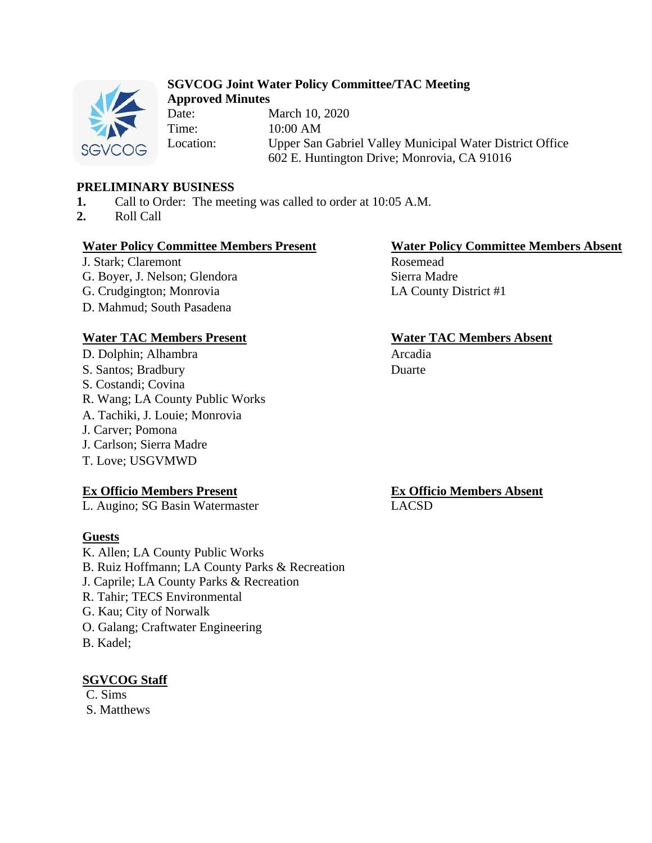

# **SGVCOG Joint Water Policy Committee/TAC Meeting Approved Minutes**

Date: March 10, 2020 Time: 10:00 AM Location: Upper San Gabriel Valley Municipal Water District Office 602 E. Huntington Drive; Monrovia, CA 91016

# **PRELIMINARY BUSINESS**

- **1.** Call to Order: The meeting was called to order at 10:05 A.M.
- **2.** Roll Call

# **Water Policy Committee Members Present Water Policy Committee Members Absent**

J. Stark; Claremont G. Boyer, J. Nelson; Glendora G. Crudgington; Monrovia LA County District #1 D. Mahmud; South Pasadena

# **Water TAC Members Present Water TAC Members Absent**

D. Dolphin; Alhambra Arcadia S. Santos; Bradbury S. Costandi; Covina R. Wang; LA County Public Works A. Tachiki, J. Louie; Monrovia J. Carver; Pomona J. Carlson; Sierra Madre T. Love; USGVMWD

# **Ex Officio Members Present**

L. Augino; SG Basin Watermaster

### **Guests**

K. Allen; LA County Public Works B. Ruiz Hoffmann; LA County Parks & Recreation J. Caprile; LA County Parks & Recreation R. Tahir; TECS Environmental G. Kau; City of Norwalk O. Galang; Craftwater Engineering B. Kadel;

# **SGVCOG Staff**

C. Sims S. Matthews

Rosemead Sierra Madre

Duarte

**Ex Officio Members Absent** LACSD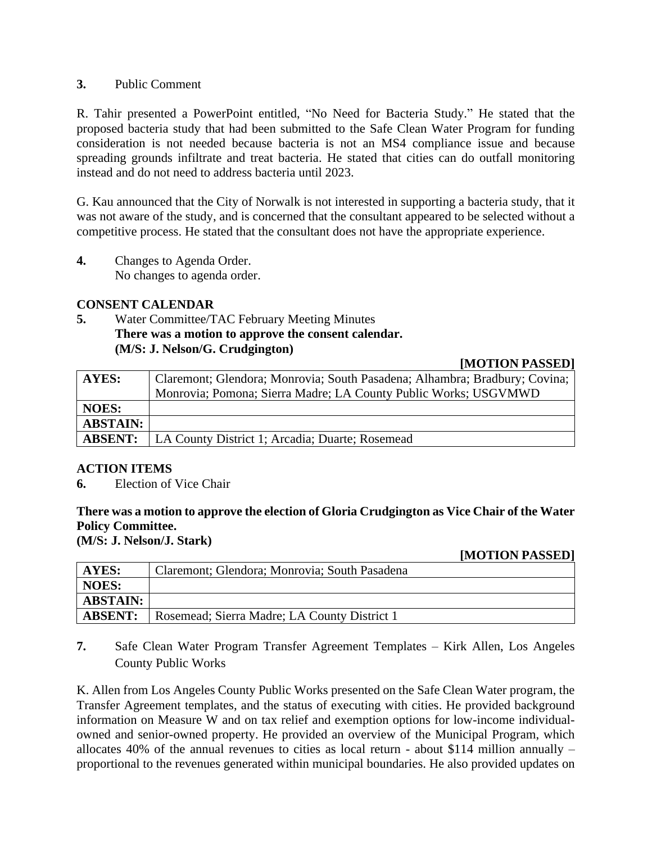# **3.** Public Comment

R. Tahir presented a PowerPoint entitled, "No Need for Bacteria Study." He stated that the proposed bacteria study that had been submitted to the Safe Clean Water Program for funding consideration is not needed because bacteria is not an MS4 compliance issue and because spreading grounds infiltrate and treat bacteria. He stated that cities can do outfall monitoring instead and do not need to address bacteria until 2023.

G. Kau announced that the City of Norwalk is not interested in supporting a bacteria study, that it was not aware of the study, and is concerned that the consultant appeared to be selected without a competitive process. He stated that the consultant does not have the appropriate experience.

**4.** Changes to Agenda Order. No changes to agenda order.

# **CONSENT CALENDAR**

**5.** Water Committee/TAC February Meeting Minutes **There was a motion to approve the consent calendar. (M/S: J. Nelson/G. Crudgington)**

#### **[MOTION PASSED]**

| <b>AYES:</b>    | Claremont; Glendora; Monrovia; South Pasadena; Alhambra; Bradbury; Covina; |
|-----------------|----------------------------------------------------------------------------|
|                 | Monrovia; Pomona; Sierra Madre; LA County Public Works; USGVMWD            |
| <b>NOES:</b>    |                                                                            |
| <b>ABSTAIN:</b> |                                                                            |
| <b>ABSENT:</b>  | LA County District 1; Arcadia; Duarte; Rosemead                            |

### **ACTION ITEMS**

**6.** Election of Vice Chair

# **There was a motion to approve the election of Gloria Crudgington as Vice Chair of the Water Policy Committee.**

**(M/S: J. Nelson/J. Stark)**

### **[MOTION PASSED]**

| AYES:           | Claremont; Glendora; Monrovia; South Pasadena |
|-----------------|-----------------------------------------------|
| <b>NOES:</b>    |                                               |
| <b>ABSTAIN:</b> |                                               |
| <b>ABSENT:</b>  | Rosemead; Sierra Madre; LA County District 1  |

**7.** Safe Clean Water Program Transfer Agreement Templates – Kirk Allen, Los Angeles County Public Works

K. Allen from Los Angeles County Public Works presented on the Safe Clean Water program, the Transfer Agreement templates, and the status of executing with cities. He provided background information on Measure W and on tax relief and exemption options for low-income individualowned and senior-owned property. He provided an overview of the Municipal Program, which allocates 40% of the annual revenues to cities as local return - about \$114 million annually – proportional to the revenues generated within municipal boundaries. He also provided updates on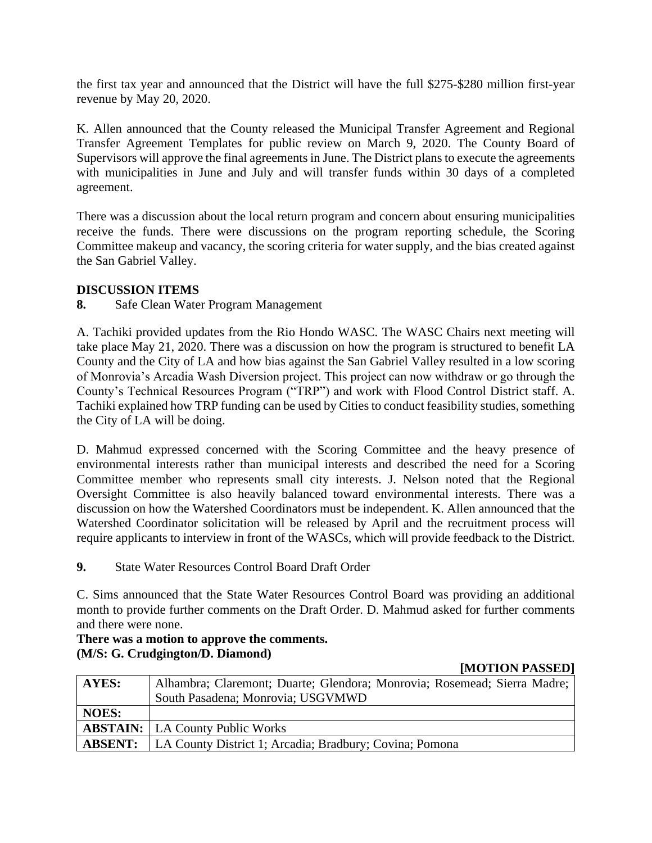the first tax year and announced that the District will have the full \$275-\$280 million first-year revenue by May 20, 2020.

K. Allen announced that the County released the Municipal Transfer Agreement and Regional Transfer Agreement Templates for public review on March 9, 2020. The County Board of Supervisors will approve the final agreements in June. The District plans to execute the agreements with municipalities in June and July and will transfer funds within 30 days of a completed agreement.

There was a discussion about the local return program and concern about ensuring municipalities receive the funds. There were discussions on the program reporting schedule, the Scoring Committee makeup and vacancy, the scoring criteria for water supply, and the bias created against the San Gabriel Valley.

# **DISCUSSION ITEMS**

**8.** Safe Clean Water Program Management

A. Tachiki provided updates from the Rio Hondo WASC. The WASC Chairs next meeting will take place May 21, 2020. There was a discussion on how the program is structured to benefit LA County and the City of LA and how bias against the San Gabriel Valley resulted in a low scoring of Monrovia's Arcadia Wash Diversion project. This project can now withdraw or go through the County's Technical Resources Program ("TRP") and work with Flood Control District staff. A. Tachiki explained how TRP funding can be used by Cities to conduct feasibility studies, something the City of LA will be doing.

D. Mahmud expressed concerned with the Scoring Committee and the heavy presence of environmental interests rather than municipal interests and described the need for a Scoring Committee member who represents small city interests. J. Nelson noted that the Regional Oversight Committee is also heavily balanced toward environmental interests. There was a discussion on how the Watershed Coordinators must be independent. K. Allen announced that the Watershed Coordinator solicitation will be released by April and the recruitment process will require applicants to interview in front of the WASCs, which will provide feedback to the District.

**9.** State Water Resources Control Board Draft Order

C. Sims announced that the State Water Resources Control Board was providing an additional month to provide further comments on the Draft Order. D. Mahmud asked for further comments and there were none.

## **There was a motion to approve the comments. (M/S: G. Crudgington/D. Diamond)**

#### **[MOTION PASSED]**

| <b>AYES:</b>   | Alhambra; Claremont; Duarte; Glendora; Monrovia; Rosemead; Sierra Madre; |
|----------------|--------------------------------------------------------------------------|
|                | South Pasadena; Monrovia; USGVMWD                                        |
| <b>NOES:</b>   |                                                                          |
|                | <b>ABSTAIN:</b>   LA County Public Works                                 |
| <b>ABSENT:</b> | LA County District 1; Arcadia; Bradbury; Covina; Pomona                  |